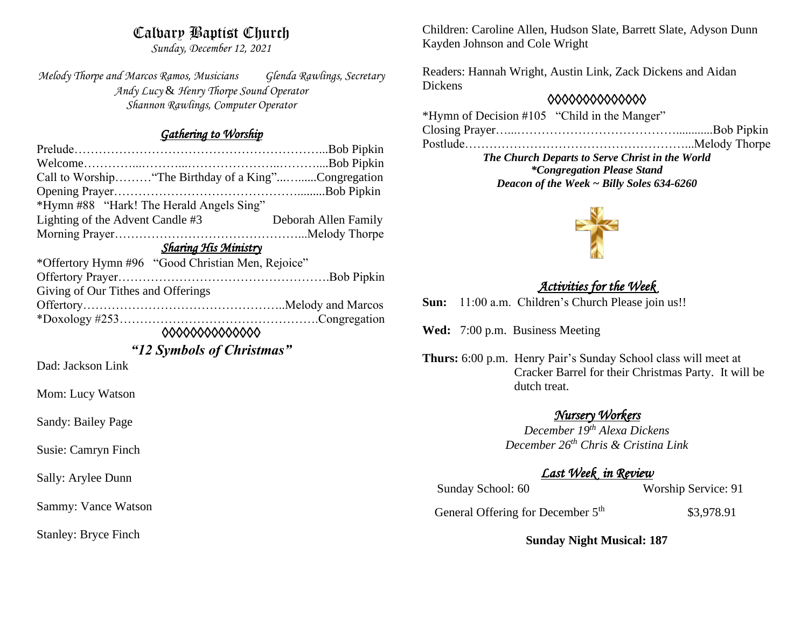# Calvary Baptist Church

*Sunday, December 12, 2021*

*Melody Thorpe and Marcos Ramos, Musicians Glenda Rawlings, Secretary Andy Lucy* & *Henry Thorpe Sound Operator Shannon Rawlings, Computer Operator*

#### *Gathering to Worship*

| Call to Worship "The Birthday of a King"Congregation |                      |
|------------------------------------------------------|----------------------|
|                                                      |                      |
| *Hymn #88 "Hark! The Herald Angels Sing"             |                      |
| Lighting of the Advent Candle #3                     | Deborah Allen Family |
|                                                      |                      |
| Sharing His Ministry                                 |                      |
| *Offertory Hymn #96 "Good Christian Men, Rejoice"    |                      |
| Offertory Prayer                                     | <b>Roh Pinkin</b>    |

| Giving of Our Tithes and Offerings |  |
|------------------------------------|--|
|                                    |  |
|                                    |  |

*◊◊◊◊◊◊◊◊◊◊◊◊◊◊* 

*"12 Symbols of Christmas"*

Dad: Jackson Link

Mom: Lucy Watson

Sandy: Bailey Page

Susie: Camryn Finch

Sally: Arylee Dunn

Sammy: Vance Watson

Stanley: Bryce Finch

Children: Caroline Allen, Hudson Slate, Barrett Slate, Adyson Dunn Kayden Johnson and Cole Wright

Readers: Hannah Wright, Austin Link, Zack Dickens and Aidan Dickens

### *◊◊◊◊◊◊◊◊◊◊◊◊◊◊*

\*Hymn of Decision #105 "Child in the Manger" Closing Prayer…...…………………………………............Bob Pipkin Postlude………………………………………………...Melody Thorpe

*The Church Departs to Serve Christ in the World \*Congregation Please Stand Deacon of the Week ~ Billy Soles 634-6260*



# *Activities for the Week*

**Sun:** 11:00 a.m. Children's Church Please join us!!

**Wed:** 7:00 p.m. Business Meeting

**Thurs:** 6:00 p.m. Henry Pair's Sunday School class will meet at Cracker Barrel for their Christmas Party. It will be dutch treat.

### *Nursery Workers*

*December 19th Alexa Dickens December 26th Chris & Cristina Link* 

## *Last Week in Review*

Sunday School: 60 Worship Service: 91

General Offering for December 5<sup>th</sup> \$3,978.91

**Sunday Night Musical: 187**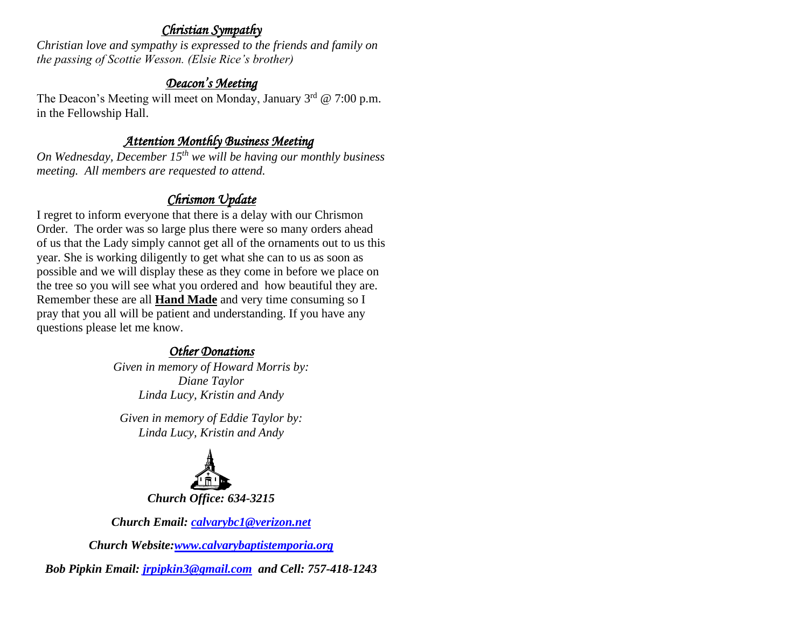## *Christian Sympathy*

*Christian love and sympathy is expressed to the friends and family on the passing of Scottie Wesson. (Elsie Rice's brother)*

### *Deacon's Meeting*

The Deacon's Meeting will meet on Monday, January  $3<sup>rd</sup>$  @ 7:00 p.m. in the Fellowship Hall.

# *Attention Monthly Business Meeting*

*On Wednesday, December 15th we will be having our monthly business meeting. All members are requested to attend.* 

# *Chrismon Update*

I regret to inform everyone that there is a delay with our Chrismon Order. The order was so large plus there were so many orders ahead of us that the Lady simply cannot get all of the ornaments out to us this year. She is working diligently to get what she can to us as soon as possible and we will display these as they come in before we place on the tree so you will see what you ordered and how beautiful they are. Remember these are all **Hand Made** and very time consuming so I pray that you all will be patient and understanding. If you have any questions please let me know.

# *Other Donations*

*Given in memory of Howard Morris by: Diane Taylor Linda Lucy, Kristin and Andy*

*Given in memory of Eddie Taylor by: Linda Lucy, Kristin and Andy*



*Church Email: [calvarybc1@verizon.net](mailto:cbcemporiaoffice@gmail.com)*

*Church Website[:www.calvarybaptistemporia.org](http://www.calvarybaptistemporia.org/)*

*Bob Pipkin Email: [jrpipkin3@gmail.com](mailto:jrpipkin3@gmail.com) and Cell: 757-418-1243*